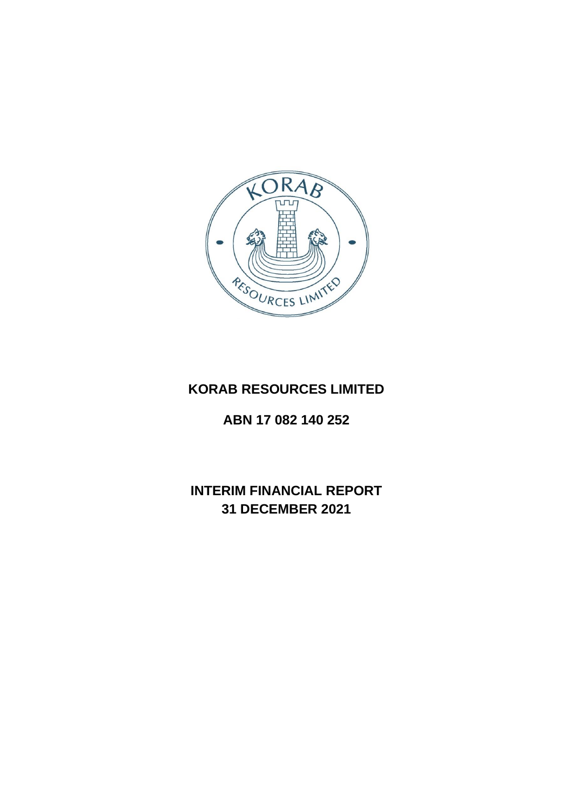

# **KORAB RESOURCES LIMITED**

# **ABN 17 082 140 252**

# **INTERIM FINANCIAL REPORT 31 DECEMBER 2021**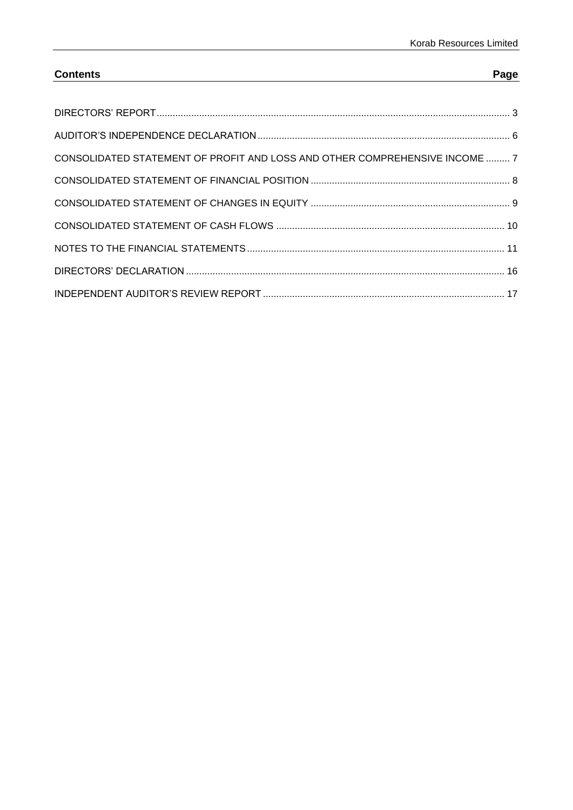# **Contents Page**

| CONSOLIDATED STATEMENT OF PROFIT AND LOSS AND OTHER COMPREHENSIVE INCOME  7 |  |
|-----------------------------------------------------------------------------|--|
|                                                                             |  |
|                                                                             |  |
|                                                                             |  |
|                                                                             |  |
|                                                                             |  |
|                                                                             |  |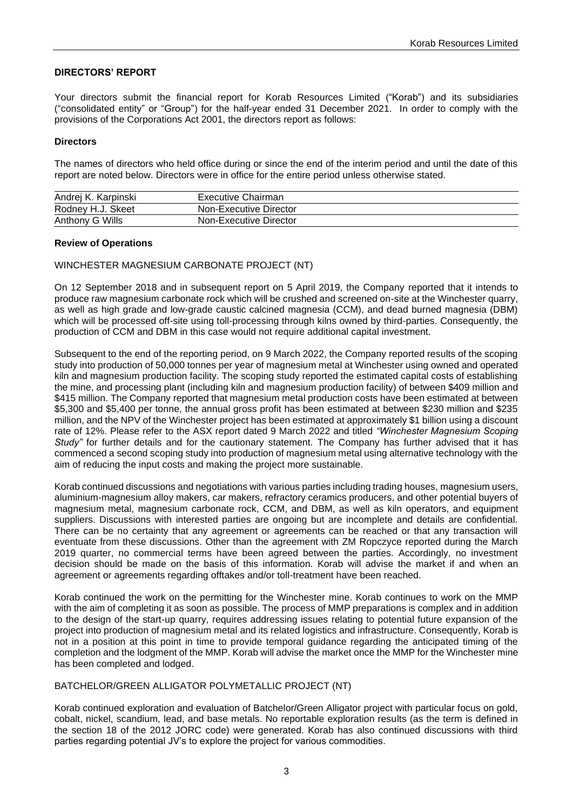### <span id="page-2-0"></span>**DIRECTORS' REPORT**

Your directors submit the financial report for Korab Resources Limited ("Korab") and its subsidiaries ("consolidated entity" or "Group") for the half-year ended 31 December 2021. In order to comply with the provisions of the Corporations Act 2001, the directors report as follows:

#### **Directors**

The names of directors who held office during or since the end of the interim period and until the date of this report are noted below. Directors were in office for the entire period unless otherwise stated.

| Andrej K. Karpinski | Executive Chairman     |
|---------------------|------------------------|
| Rodney H.J. Skeet   | Non-Executive Director |
| Anthony G Wills     | Non-Executive Director |

#### **Review of Operations**

#### WINCHESTER MAGNESIUM CARBONATE PROJECT (NT)

On 12 September 2018 and in subsequent report on 5 April 2019, the Company reported that it intends to produce raw magnesium carbonate rock which will be crushed and screened on-site at the Winchester quarry, as well as high grade and low-grade caustic calcined magnesia (CCM), and dead burned magnesia (DBM) which will be processed off-site using toll-processing through kilns owned by third-parties. Consequently, the production of CCM and DBM in this case would not require additional capital investment.

Subsequent to the end of the reporting period, on 9 March 2022, the Company reported results of the scoping study into production of 50,000 tonnes per year of magnesium metal at Winchester using owned and operated kiln and magnesium production facility. The scoping study reported the estimated capital costs of establishing the mine, and processing plant (including kiln and magnesium production facility) of between \$409 million and \$415 million. The Company reported that magnesium metal production costs have been estimated at between \$5,300 and \$5,400 per tonne, the annual gross profit has been estimated at between \$230 million and \$235 million, and the NPV of the Winchester project has been estimated at approximately \$1 billion using a discount rate of 12%. Please refer to the ASX report dated 9 March 2022 and titled *"Winchester Magnesium Scoping Study*" for further details and for the cautionary statement. The Company has further advised that it has commenced a second scoping study into production of magnesium metal using alternative technology with the aim of reducing the input costs and making the project more sustainable.

Korab continued discussions and negotiations with various parties including trading houses, magnesium users, aluminium-magnesium alloy makers, car makers, refractory ceramics producers, and other potential buyers of magnesium metal, magnesium carbonate rock, CCM, and DBM, as well as kiln operators, and equipment suppliers. Discussions with interested parties are ongoing but are incomplete and details are confidential. There can be no certainty that any agreement or agreements can be reached or that any transaction will eventuate from these discussions. Other than the agreement with ZM Ropczyce reported during the March 2019 quarter, no commercial terms have been agreed between the parties. Accordingly, no investment decision should be made on the basis of this information. Korab will advise the market if and when an agreement or agreements regarding offtakes and/or toll-treatment have been reached.

Korab continued the work on the permitting for the Winchester mine. Korab continues to work on the MMP with the aim of completing it as soon as possible. The process of MMP preparations is complex and in addition to the design of the start-up quarry, requires addressing issues relating to potential future expansion of the project into production of magnesium metal and its related logistics and infrastructure. Consequently, Korab is not in a position at this point in time to provide temporal guidance regarding the anticipated timing of the completion and the lodgment of the MMP. Korab will advise the market once the MMP for the Winchester mine has been completed and lodged.

#### BATCHELOR/GREEN ALLIGATOR POLYMETALLIC PROJECT (NT)

Korab continued exploration and evaluation of Batchelor/Green Alligator project with particular focus on gold, cobalt, nickel, scandium, lead, and base metals. No reportable exploration results (as the term is defined in the section 18 of the 2012 JORC code) were generated. Korab has also continued discussions with third parties regarding potential JV's to explore the project for various commodities.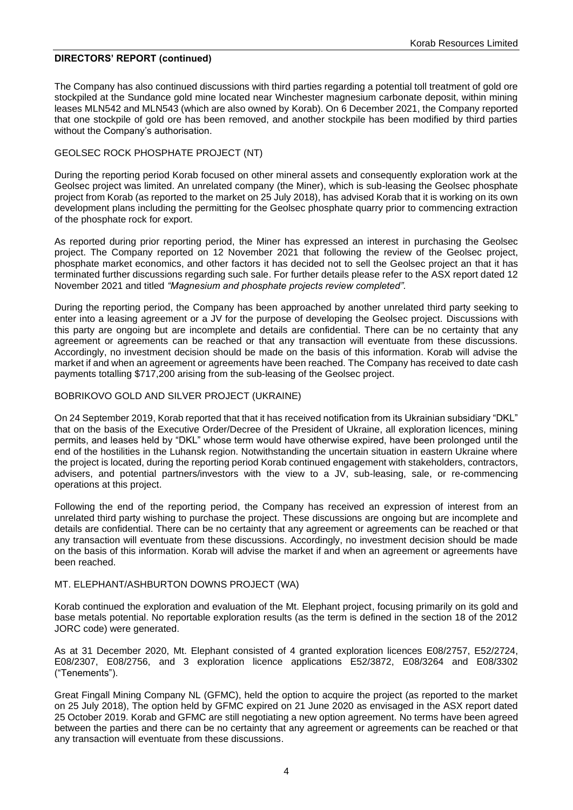#### **DIRECTORS' REPORT (continued)**

The Company has also continued discussions with third parties regarding a potential toll treatment of gold ore stockpiled at the Sundance gold mine located near Winchester magnesium carbonate deposit, within mining leases MLN542 and MLN543 (which are also owned by Korab). On 6 December 2021, the Company reported that one stockpile of gold ore has been removed, and another stockpile has been modified by third parties without the Company's authorisation.

### GEOLSEC ROCK PHOSPHATE PROJECT (NT)

During the reporting period Korab focused on other mineral assets and consequently exploration work at the Geolsec project was limited. An unrelated company (the Miner), which is sub-leasing the Geolsec phosphate project from Korab (as reported to the market on 25 July 2018), has advised Korab that it is working on its own development plans including the permitting for the Geolsec phosphate quarry prior to commencing extraction of the phosphate rock for export.

As reported during prior reporting period, the Miner has expressed an interest in purchasing the Geolsec project. The Company reported on 12 November 2021 that following the review of the Geolsec project, phosphate market economics, and other factors it has decided not to sell the Geolsec project an that it has terminated further discussions regarding such sale. For further details please refer to the ASX report dated 12 November 2021 and titled *"Magnesium and phosphate projects review completed".*

During the reporting period, the Company has been approached by another unrelated third party seeking to enter into a leasing agreement or a JV for the purpose of developing the Geolsec project. Discussions with this party are ongoing but are incomplete and details are confidential. There can be no certainty that any agreement or agreements can be reached or that any transaction will eventuate from these discussions. Accordingly, no investment decision should be made on the basis of this information. Korab will advise the market if and when an agreement or agreements have been reached. The Company has received to date cash payments totalling \$717,200 arising from the sub-leasing of the Geolsec project.

#### BOBRIKOVO GOLD AND SILVER PROJECT (UKRAINE)

On 24 September 2019, Korab reported that that it has received notification from its Ukrainian subsidiary "DKL" that on the basis of the Executive Order/Decree of the President of Ukraine, all exploration licences, mining permits, and leases held by "DKL" whose term would have otherwise expired, have been prolonged until the end of the hostilities in the Luhansk region. Notwithstanding the uncertain situation in eastern Ukraine where the project is located, during the reporting period Korab continued engagement with stakeholders, contractors, advisers, and potential partners/investors with the view to a JV, sub-leasing, sale, or re-commencing operations at this project.

Following the end of the reporting period, the Company has received an expression of interest from an unrelated third party wishing to purchase the project. These discussions are ongoing but are incomplete and details are confidential. There can be no certainty that any agreement or agreements can be reached or that any transaction will eventuate from these discussions. Accordingly, no investment decision should be made on the basis of this information. Korab will advise the market if and when an agreement or agreements have been reached.

#### MT. ELEPHANT/ASHBURTON DOWNS PROJECT (WA)

Korab continued the exploration and evaluation of the Mt. Elephant project, focusing primarily on its gold and base metals potential. No reportable exploration results (as the term is defined in the section 18 of the 2012 JORC code) were generated.

As at 31 December 2020, Mt. Elephant consisted of 4 granted exploration licences E08/2757, E52/2724, E08/2307, E08/2756, and 3 exploration licence applications E52/3872, E08/3264 and E08/3302 ("Tenements").

Great Fingall Mining Company NL (GFMC), held the option to acquire the project (as reported to the market on 25 July 2018), The option held by GFMC expired on 21 June 2020 as envisaged in the ASX report dated 25 October 2019. Korab and GFMC are still negotiating a new option agreement. No terms have been agreed between the parties and there can be no certainty that any agreement or agreements can be reached or that any transaction will eventuate from these discussions.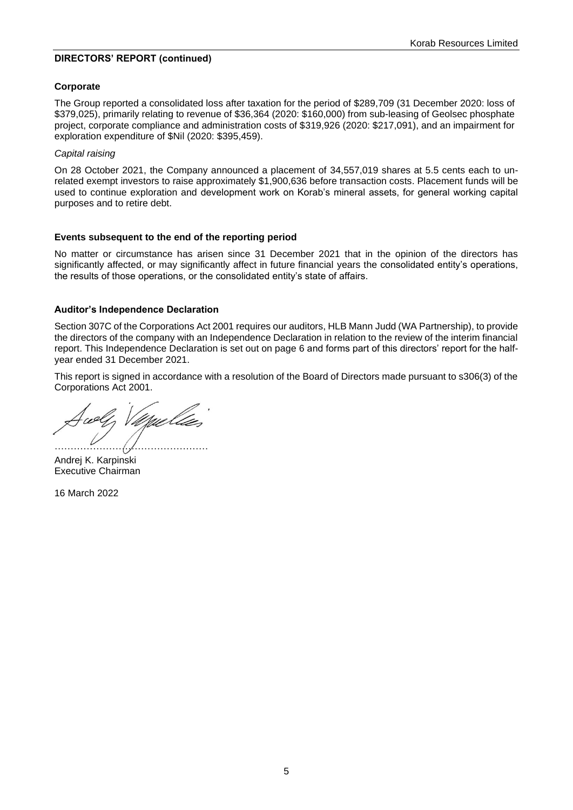#### **DIRECTORS' REPORT (continued)**

#### **Corporate**

The Group reported a consolidated loss after taxation for the period of \$289,709 (31 December 2020: loss of \$379,025), primarily relating to revenue of \$36,364 (2020: \$160,000) from sub-leasing of Geolsec phosphate project, corporate compliance and administration costs of \$319,926 (2020: \$217,091), and an impairment for exploration expenditure of \$Nil (2020: \$395,459).

#### *Capital raising*

On 28 October 2021, the Company announced a placement of 34,557,019 shares at 5.5 cents each to unrelated exempt investors to raise approximately \$1,900,636 before transaction costs. Placement funds will be used to continue exploration and development work on Korab's mineral assets, for general working capital purposes and to retire debt.

#### **Events subsequent to the end of the reporting period**

No matter or circumstance has arisen since 31 December 2021 that in the opinion of the directors has significantly affected, or may significantly affect in future financial years the consolidated entity's operations, the results of those operations, or the consolidated entity's state of affairs.

#### **Auditor's Independence Declaration**

Section 307C of the Corporations Act 2001 requires our auditors, HLB Mann Judd (WA Partnership), to provide the directors of the company with an Independence Declaration in relation to the review of the interim financial report. This Independence Declaration is set out on page 6 and forms part of this directors' report for the halfyear ended 31 December 2021.

This report is signed in accordance with a resolution of the Board of Directors made pursuant to s306(3) of the Corporations Act 2001.

UMUL …………………………………………

Andrej K. Karpinski Executive Chairman

16 March 2022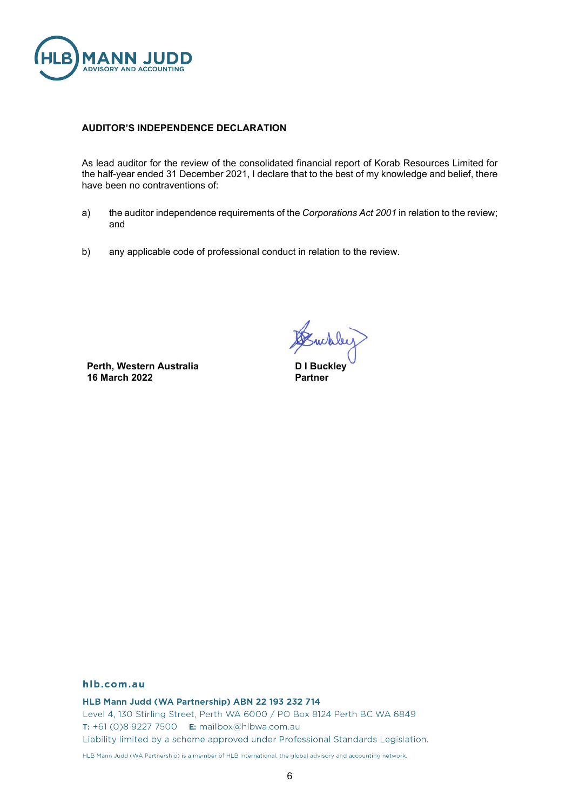

#### **AUDITOR'S INDEPENDENCE DECLARATION**

As lead auditor for the review of the consolidated financial report of Korab Resources Limited for the half-year ended 31 December 2021, I declare that to the best of my knowledge and belief, there have been no contraventions of:

- a) the auditor independence requirements of the *Corporations Act 2001* in relation to the review; and
- b) any applicable code of professional conduct in relation to the review.

**Perth, Western Australia 16 March 2022**

whley

**D I Buckley Partner**

#### hlb.com.au

HLB Mann Judd (WA Partnership) ABN 22 193 232 714 Level 4, 130 Stirling Street, Perth WA 6000 / PO Box 8124 Perth BC WA 6849 **T:** +61 (0)8 9227 7500 **E:** mailbox@hlbwa.com.au Liability limited by a scheme approved under Professional Standards Legislation. HLB Mann Judd (WA Partnership) is a member of HLB International, the global advisory and accounting network.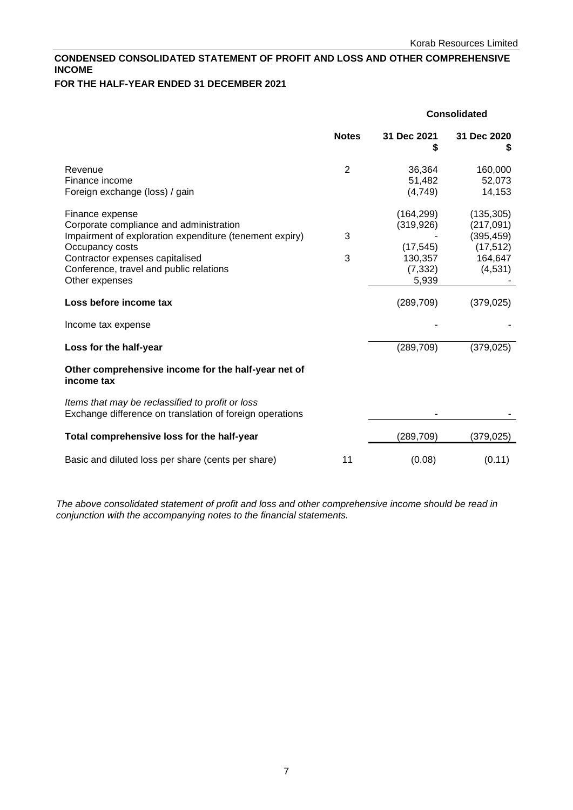# <span id="page-6-0"></span>**CONDENSED CONSOLIDATED STATEMENT OF PROFIT AND LOSS AND OTHER COMPREHENSIVE INCOME**

# **FOR THE HALF-YEAR ENDED 31 DECEMBER 2021**

|                                                                                                                                                                                                                                          | <b>Consolidated</b> |                                                                       |                                                                           |
|------------------------------------------------------------------------------------------------------------------------------------------------------------------------------------------------------------------------------------------|---------------------|-----------------------------------------------------------------------|---------------------------------------------------------------------------|
|                                                                                                                                                                                                                                          | <b>Notes</b>        | 31 Dec 2021<br>\$                                                     | 31 Dec 2020                                                               |
| Revenue<br>Finance income<br>Foreign exchange (loss) / gain                                                                                                                                                                              | $\overline{2}$      | 36,364<br>51,482<br>(4,749)                                           | 160,000<br>52,073<br>14,153                                               |
| Finance expense<br>Corporate compliance and administration<br>Impairment of exploration expenditure (tenement expiry)<br>Occupancy costs<br>Contractor expenses capitalised<br>Conference, travel and public relations<br>Other expenses | 3<br>3              | (164, 299)<br>(319, 926)<br>(17, 545)<br>130,357<br>(7, 332)<br>5,939 | (135, 305)<br>(217, 091)<br>(395, 459)<br>(17, 512)<br>164,647<br>(4,531) |
| Loss before income tax                                                                                                                                                                                                                   |                     | (289, 709)                                                            | (379, 025)                                                                |
| Income tax expense                                                                                                                                                                                                                       |                     |                                                                       |                                                                           |
| Loss for the half-year                                                                                                                                                                                                                   |                     | (289, 709)                                                            | (379, 025)                                                                |
| Other comprehensive income for the half-year net of<br>income tax                                                                                                                                                                        |                     |                                                                       |                                                                           |
| Items that may be reclassified to profit or loss<br>Exchange difference on translation of foreign operations                                                                                                                             |                     |                                                                       |                                                                           |
| Total comprehensive loss for the half-year                                                                                                                                                                                               |                     | (289, 709)                                                            | (379, 025)                                                                |
| Basic and diluted loss per share (cents per share)                                                                                                                                                                                       | 11                  | (0.08)                                                                | (0.11)                                                                    |

*The above consolidated statement of profit and loss and other comprehensive income should be read in conjunction with the accompanying notes to the financial statements.*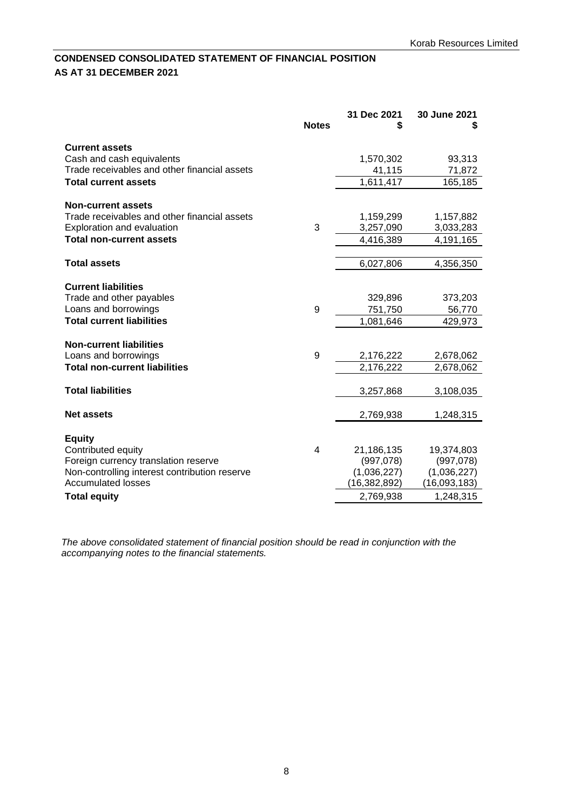# <span id="page-7-0"></span>**CONDENSED CONSOLIDATED STATEMENT OF FINANCIAL POSITION AS AT 31 DECEMBER 2021**

|                                                               | <b>Notes</b> | 31 Dec 2021            | 30 June 2021<br>S      |
|---------------------------------------------------------------|--------------|------------------------|------------------------|
| <b>Current assets</b>                                         |              |                        |                        |
| Cash and cash equivalents                                     |              | 1,570,302              | 93,313                 |
| Trade receivables and other financial assets                  |              | 41,115                 | 71,872                 |
| <b>Total current assets</b>                                   |              | 1,611,417              | 165,185                |
|                                                               |              |                        |                        |
| <b>Non-current assets</b>                                     |              |                        |                        |
| Trade receivables and other financial assets                  | 3            | 1,159,299              | 1,157,882              |
| Exploration and evaluation<br><b>Total non-current assets</b> |              | 3,257,090<br>4,416,389 | 3,033,283<br>4,191,165 |
|                                                               |              |                        |                        |
| <b>Total assets</b>                                           |              | 6,027,806              | 4,356,350              |
|                                                               |              |                        |                        |
| <b>Current liabilities</b>                                    |              |                        |                        |
| Trade and other payables                                      |              | 329,896                | 373,203                |
| Loans and borrowings                                          | 9            | 751,750                | 56,770                 |
| <b>Total current liabilities</b>                              |              | 1,081,646              | 429,973                |
|                                                               |              |                        |                        |
| <b>Non-current liabilities</b>                                |              |                        |                        |
| Loans and borrowings                                          | 9            | 2,176,222              | 2,678,062              |
| <b>Total non-current liabilities</b>                          |              | 2,176,222              | 2,678,062              |
| <b>Total liabilities</b>                                      |              | 3,257,868              | 3,108,035              |
| <b>Net assets</b>                                             |              | 2,769,938              | 1,248,315              |
|                                                               |              |                        |                        |
| <b>Equity</b>                                                 |              |                        |                        |
| Contributed equity                                            | 4            | 21,186,135             | 19,374,803             |
| Foreign currency translation reserve                          |              | (997,078)              | (997,078)              |
| Non-controlling interest contribution reserve                 |              | (1,036,227)            | (1,036,227)            |
| <b>Accumulated losses</b>                                     |              | (16, 382, 892)         | (16,093,183)           |
| <b>Total equity</b>                                           |              | 2,769,938              | 1,248,315              |

*The above consolidated statement of financial position should be read in conjunction with the accompanying notes to the financial statements.*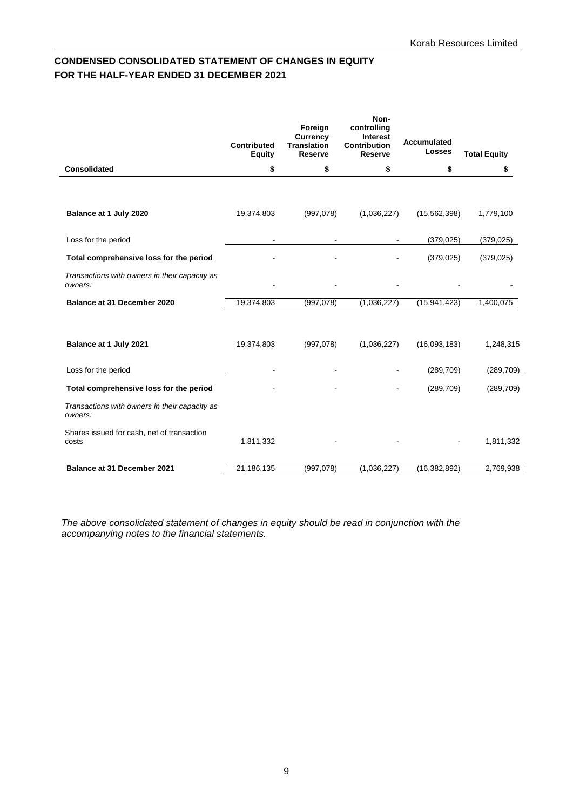# <span id="page-8-0"></span>**CONDENSED CONSOLIDATED STATEMENT OF CHANGES IN EQUITY FOR THE HALF-YEAR ENDED 31 DECEMBER 2021**

|                                                          | <b>Contributed</b><br><b>Equity</b> | Foreign<br>Currency<br><b>Translation</b><br><b>Reserve</b> | Non-<br>controlling<br><b>Interest</b><br><b>Contribution</b><br><b>Reserve</b> | <b>Accumulated</b><br><b>Losses</b> | <b>Total Equity</b> |
|----------------------------------------------------------|-------------------------------------|-------------------------------------------------------------|---------------------------------------------------------------------------------|-------------------------------------|---------------------|
| <b>Consolidated</b>                                      | \$                                  | \$                                                          | \$                                                                              | \$                                  | \$                  |
|                                                          |                                     |                                                             |                                                                                 |                                     |                     |
| Balance at 1 July 2020                                   | 19,374,803                          | (997,078)                                                   | (1,036,227)                                                                     | (15, 562, 398)                      | 1,779,100           |
| Loss for the period                                      |                                     | $\qquad \qquad \blacksquare$                                |                                                                                 | (379, 025)                          | (379, 025)          |
| Total comprehensive loss for the period                  |                                     |                                                             |                                                                                 | (379, 025)                          | (379, 025)          |
| Transactions with owners in their capacity as<br>owners: |                                     |                                                             |                                                                                 |                                     |                     |
| Balance at 31 December 2020                              | 19,374,803                          | (997,078)                                                   | (1,036,227)                                                                     | (15, 941, 423)                      | 1,400,075           |
| Balance at 1 July 2021                                   | 19,374,803                          | (997,078)                                                   | (1,036,227)                                                                     | (16,093,183)                        | 1,248,315           |
| Loss for the period                                      | $\blacksquare$                      | $\sim$                                                      | $\sim$                                                                          | (289, 709)                          | (289, 709)          |
| Total comprehensive loss for the period                  |                                     |                                                             |                                                                                 | (289, 709)                          | (289, 709)          |
| Transactions with owners in their capacity as<br>owners: |                                     |                                                             |                                                                                 |                                     |                     |
| Shares issued for cash, net of transaction<br>costs      | 1,811,332                           |                                                             |                                                                                 |                                     | 1,811,332           |
| Balance at 31 December 2021                              | 21,186,135                          | (997,078)                                                   | (1,036,227)                                                                     | (16, 382, 892)                      | 2,769,938           |

*The above consolidated statement of changes in equity should be read in conjunction with the accompanying notes to the financial statements.*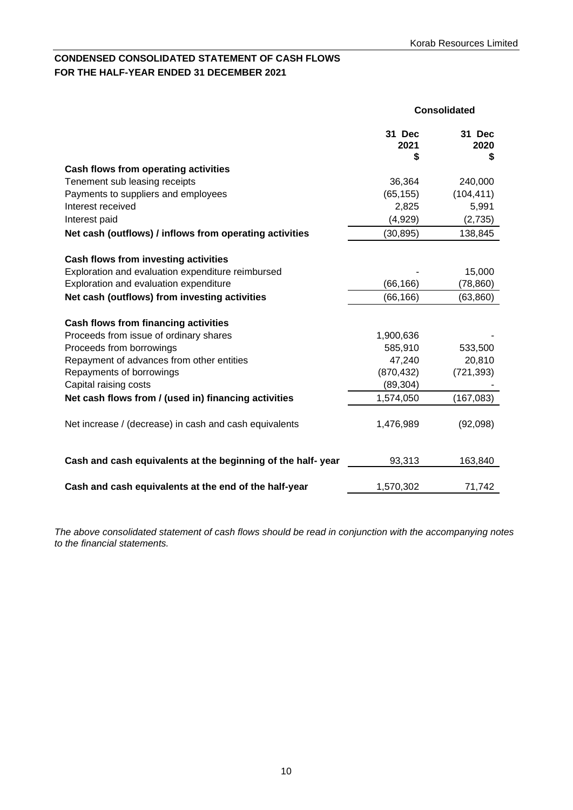# <span id="page-9-0"></span>**CONDENSED CONSOLIDATED STATEMENT OF CASH FLOWS FOR THE HALF-YEAR ENDED 31 DECEMBER 2021**

|                                                                                | Consolidated         |                     |
|--------------------------------------------------------------------------------|----------------------|---------------------|
|                                                                                | 31 Dec<br>2021<br>\$ | 31 Dec<br>2020<br>S |
| Cash flows from operating activities                                           |                      |                     |
| Tenement sub leasing receipts                                                  | 36,364               | 240,000             |
| Payments to suppliers and employees                                            | (65, 155)            | (104, 411)          |
| Interest received                                                              | 2,825                | 5,991               |
| Interest paid                                                                  | (4,929)              | (2,735)             |
| Net cash (outflows) / inflows from operating activities                        | (30, 895)            | 138,845             |
| Cash flows from investing activities                                           |                      |                     |
| Exploration and evaluation expenditure reimbursed                              |                      | 15,000              |
| Exploration and evaluation expenditure                                         | (66, 166)            | (78,860)            |
| Net cash (outflows) from investing activities                                  | (66, 166)            | (63, 860)           |
|                                                                                |                      |                     |
| Cash flows from financing activities<br>Proceeds from issue of ordinary shares | 1,900,636            |                     |
| Proceeds from borrowings                                                       | 585,910              | 533,500             |
| Repayment of advances from other entities                                      | 47,240               | 20,810              |
| Repayments of borrowings                                                       | (870, 432)           | (721, 393)          |
| Capital raising costs                                                          | (89, 304)            |                     |
| Net cash flows from / (used in) financing activities                           | 1,574,050            | (167, 083)          |
| Net increase / (decrease) in cash and cash equivalents                         | 1,476,989            | (92,098)            |
| Cash and cash equivalents at the beginning of the half-year                    | 93,313               | 163,840             |
| Cash and cash equivalents at the end of the half-year                          | 1,570,302            | 71,742              |

*The above consolidated statement of cash flows should be read in conjunction with the accompanying notes to the financial statements.*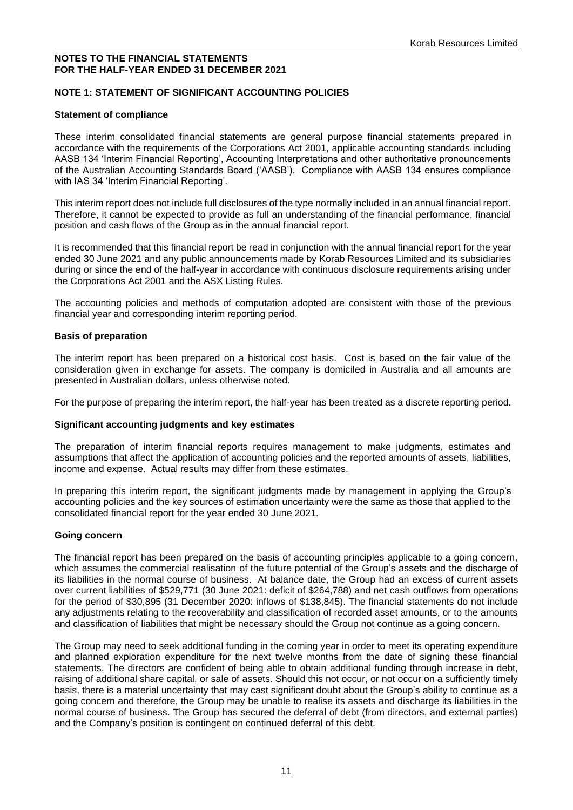#### <span id="page-10-0"></span>**NOTES TO THE FINANCIAL STATEMENTS FOR THE HALF-YEAR ENDED 31 DECEMBER 2021**

### **NOTE 1: STATEMENT OF SIGNIFICANT ACCOUNTING POLICIES**

#### **Statement of compliance**

These interim consolidated financial statements are general purpose financial statements prepared in accordance with the requirements of the Corporations Act 2001, applicable accounting standards including AASB 134 'Interim Financial Reporting', Accounting Interpretations and other authoritative pronouncements of the Australian Accounting Standards Board ('AASB'). Compliance with AASB 134 ensures compliance with IAS 34 'Interim Financial Reporting'.

This interim report does not include full disclosures of the type normally included in an annual financial report. Therefore, it cannot be expected to provide as full an understanding of the financial performance, financial position and cash flows of the Group as in the annual financial report.

It is recommended that this financial report be read in conjunction with the annual financial report for the year ended 30 June 2021 and any public announcements made by Korab Resources Limited and its subsidiaries during or since the end of the half-year in accordance with continuous disclosure requirements arising under the Corporations Act 2001 and the ASX Listing Rules.

The accounting policies and methods of computation adopted are consistent with those of the previous financial year and corresponding interim reporting period.

#### **Basis of preparation**

The interim report has been prepared on a historical cost basis. Cost is based on the fair value of the consideration given in exchange for assets. The company is domiciled in Australia and all amounts are presented in Australian dollars, unless otherwise noted.

For the purpose of preparing the interim report, the half-year has been treated as a discrete reporting period.

#### **Significant accounting judgments and key estimates**

The preparation of interim financial reports requires management to make judgments, estimates and assumptions that affect the application of accounting policies and the reported amounts of assets, liabilities, income and expense. Actual results may differ from these estimates.

In preparing this interim report, the significant judgments made by management in applying the Group's accounting policies and the key sources of estimation uncertainty were the same as those that applied to the consolidated financial report for the year ended 30 June 2021.

#### **Going concern**

The financial report has been prepared on the basis of accounting principles applicable to a going concern, which assumes the commercial realisation of the future potential of the Group's assets and the discharge of its liabilities in the normal course of business. At balance date, the Group had an excess of current assets over current liabilities of \$529,771 (30 June 2021: deficit of \$264,788) and net cash outflows from operations for the period of \$30,895 (31 December 2020: inflows of \$138,845). The financial statements do not include any adjustments relating to the recoverability and classification of recorded asset amounts, or to the amounts and classification of liabilities that might be necessary should the Group not continue as a going concern.

The Group may need to seek additional funding in the coming year in order to meet its operating expenditure and planned exploration expenditure for the next twelve months from the date of signing these financial statements. The directors are confident of being able to obtain additional funding through increase in debt, raising of additional share capital, or sale of assets. Should this not occur, or not occur on a sufficiently timely basis, there is a material uncertainty that may cast significant doubt about the Group's ability to continue as a going concern and therefore, the Group may be unable to realise its assets and discharge its liabilities in the normal course of business. The Group has secured the deferral of debt (from directors, and external parties) and the Company's position is contingent on continued deferral of this debt.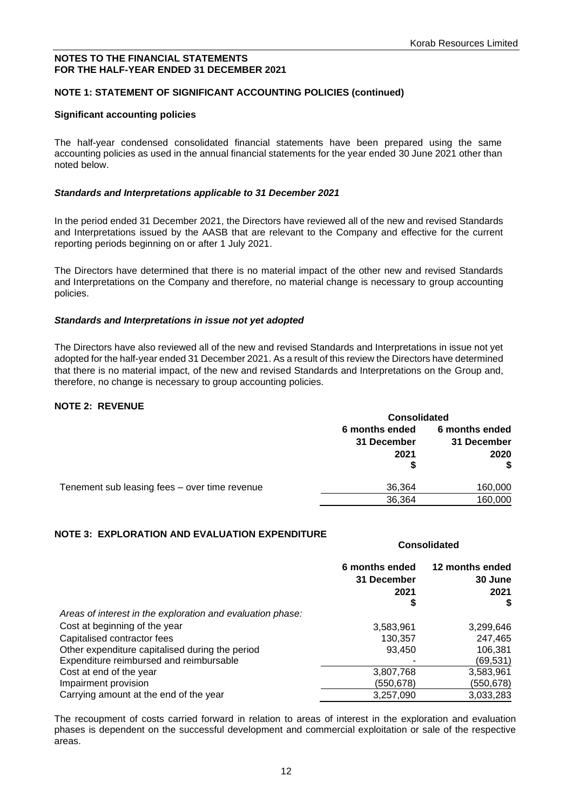**Consolidated**

## **NOTES TO THE FINANCIAL STATEMENTS FOR THE HALF-YEAR ENDED 31 DECEMBER 2021**

# **NOTE 1: STATEMENT OF SIGNIFICANT ACCOUNTING POLICIES (continued)**

#### **Significant accounting policies**

The half-year condensed consolidated financial statements have been prepared using the same accounting policies as used in the annual financial statements for the year ended 30 June 2021 other than noted below.

#### *Standards and Interpretations applicable to 31 December 2021*

In the period ended 31 December 2021, the Directors have reviewed all of the new and revised Standards and Interpretations issued by the AASB that are relevant to the Company and effective for the current reporting periods beginning on or after 1 July 2021.

The Directors have determined that there is no material impact of the other new and revised Standards and Interpretations on the Company and therefore, no material change is necessary to group accounting policies.

#### *Standards and Interpretations in issue not yet adopted*

The Directors have also reviewed all of the new and revised Standards and Interpretations in issue not yet adopted for the half-year ended 31 December 2021. As a result of this review the Directors have determined that there is no material impact, of the new and revised Standards and Interpretations on the Group and, therefore, no change is necessary to group accounting policies.

#### **NOTE 2: REVENUE**

|                                               | <b>Consolidated</b>                        |                                             |  |
|-----------------------------------------------|--------------------------------------------|---------------------------------------------|--|
|                                               | 6 months ended<br>31 December<br>2021<br>S | 6 months ended<br>31 December<br>2020<br>\$ |  |
| Tenement sub leasing fees - over time revenue | 36,364                                     | 160,000                                     |  |
|                                               | 36,364                                     | 160,000                                     |  |

#### **NOTE 3: EXPLORATION AND EVALUATION EXPENDITURE**

|                                                            | 6 months ended<br>31 December<br>2021<br>\$ | 12 months ended<br>30 June<br>2021<br>S |
|------------------------------------------------------------|---------------------------------------------|-----------------------------------------|
| Areas of interest in the exploration and evaluation phase: |                                             |                                         |
| Cost at beginning of the year                              | 3,583,961                                   | 3,299,646                               |
| Capitalised contractor fees                                | 130,357                                     | 247,465                                 |
| Other expenditure capitalised during the period            | 93,450                                      | 106,381                                 |
| Expenditure reimbursed and reimbursable                    |                                             | (69, 531)                               |
| Cost at end of the year                                    | 3,807,768                                   | 3,583,961                               |
| Impairment provision                                       | (550, 678)                                  | (550,678)                               |
| Carrying amount at the end of the year                     | 3,257,090                                   | 3,033,283                               |

The recoupment of costs carried forward in relation to areas of interest in the exploration and evaluation phases is dependent on the successful development and commercial exploitation or sale of the respective areas.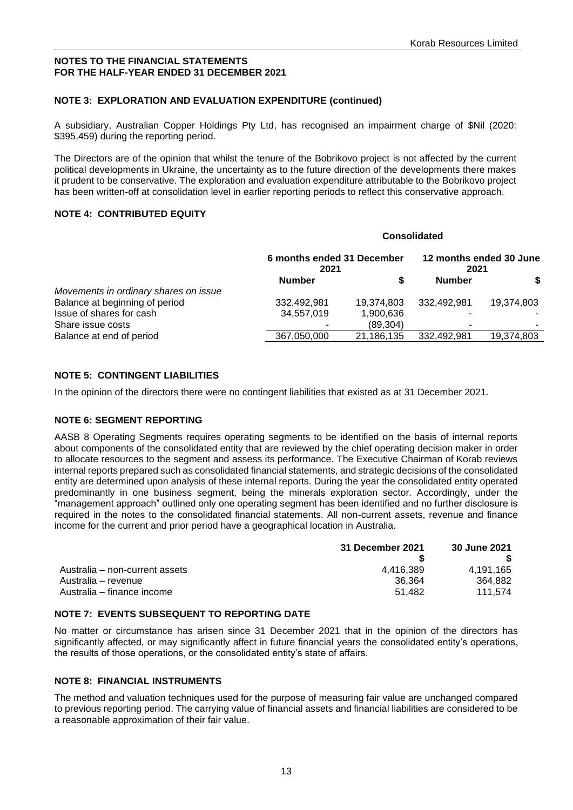#### **NOTES TO THE FINANCIAL STATEMENTS FOR THE HALF-YEAR ENDED 31 DECEMBER 2021**

## **NOTE 3: EXPLORATION AND EVALUATION EXPENDITURE (continued)**

A subsidiary, Australian Copper Holdings Pty Ltd, has recognised an impairment charge of \$Nil (2020: \$395,459) during the reporting period.

The Directors are of the opinion that whilst the tenure of the Bobrikovo project is not affected by the current political developments in Ukraine, the uncertainty as to the future direction of the developments there makes it prudent to be conservative. The exploration and evaluation expenditure attributable to the Bobrikovo project has been written-off at consolidation level in earlier reporting periods to reflect this conservative approach.

#### **NOTE 4: CONTRIBUTED EQUITY**

|                                       |                                    | <b>Consolidated</b> |                                 |            |  |
|---------------------------------------|------------------------------------|---------------------|---------------------------------|------------|--|
|                                       | 6 months ended 31 December<br>2021 |                     | 12 months ended 30 June<br>2021 |            |  |
|                                       | <b>Number</b>                      |                     | <b>Number</b>                   | \$         |  |
| Movements in ordinary shares on issue |                                    |                     |                                 |            |  |
| Balance at beginning of period        | 332,492,981                        | 19,374,803          | 332.492.981                     | 19,374,803 |  |
| Issue of shares for cash              | 34,557,019                         | 1,900,636           |                                 |            |  |
| Share issue costs                     |                                    | (89, 304)           |                                 |            |  |
| Balance at end of period              | 367,050,000                        | 21,186,135          | 332,492,981                     | 19,374,803 |  |
|                                       |                                    |                     |                                 |            |  |

#### **NOTE 5: CONTINGENT LIABILITIES**

In the opinion of the directors there were no contingent liabilities that existed as at 31 December 2021.

#### **NOTE 6: SEGMENT REPORTING**

AASB 8 Operating Segments requires operating segments to be identified on the basis of internal reports about components of the consolidated entity that are reviewed by the chief operating decision maker in order to allocate resources to the segment and assess its performance. The Executive Chairman of Korab reviews internal reports prepared such as consolidated financial statements, and strategic decisions of the consolidated entity are determined upon analysis of these internal reports. During the year the consolidated entity operated predominantly in one business segment, being the minerals exploration sector. Accordingly, under the "management approach" outlined only one operating segment has been identified and no further disclosure is required in the notes to the consolidated financial statements. All non-current assets, revenue and finance income for the current and prior period have a geographical location in Australia.

|                                | 31 December 2021 | <b>30 June 2021</b> |
|--------------------------------|------------------|---------------------|
|                                |                  |                     |
| Australia – non-current assets | 4.416.389        | 4.191.165           |
| Australia – revenue            | 36.364           | 364.882             |
| Australia – finance income     | 51.482           | 111.574             |

#### **NOTE 7: EVENTS SUBSEQUENT TO REPORTING DATE**

No matter or circumstance has arisen since 31 December 2021 that in the opinion of the directors has significantly affected, or may significantly affect in future financial years the consolidated entity's operations, the results of those operations, or the consolidated entity's state of affairs.

#### **NOTE 8: FINANCIAL INSTRUMENTS**

The method and valuation techniques used for the purpose of measuring fair value are unchanged compared to previous reporting period. The carrying value of financial assets and financial liabilities are considered to be a reasonable approximation of their fair value.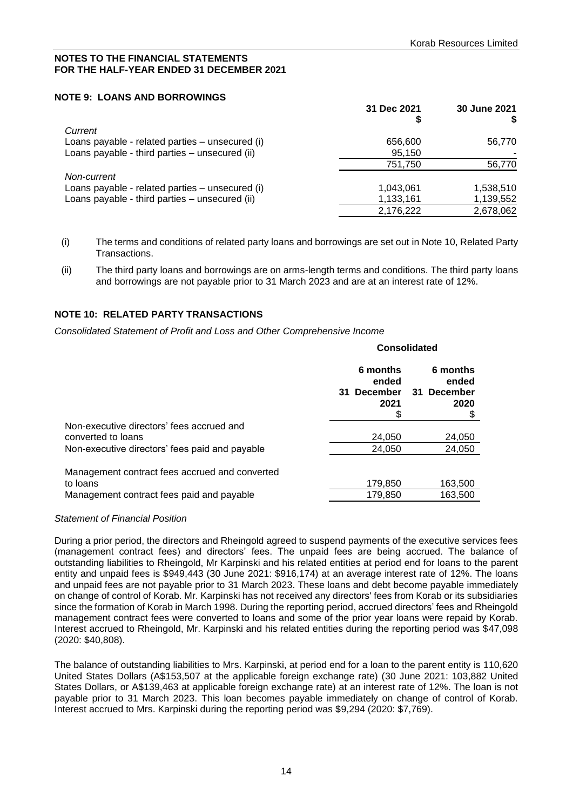**Consolidated**

#### **NOTES TO THE FINANCIAL STATEMENTS FOR THE HALF-YEAR ENDED 31 DECEMBER 2021**

### **NOTE 9: LOANS AND BORROWINGS**

|                                                 | 31 Dec 2021 | 30 June 2021 |
|-------------------------------------------------|-------------|--------------|
|                                                 | \$          | S            |
| Current                                         |             |              |
| Loans payable - related parties – unsecured (i) | 656,600     | 56,770       |
| Loans payable - third parties - unsecured (ii)  | 95,150      |              |
|                                                 | 751,750     | 56,770       |
| Non-current                                     |             |              |
| Loans payable - related parties – unsecured (i) | 1.043.061   | 1,538,510    |
| Loans payable - third parties - unsecured (ii)  | 1,133,161   | 1,139,552    |
|                                                 | 2,176,222   | 2,678,062    |

- (i) The terms and conditions of related party loans and borrowings are set out in Note 10, Related Party Transactions.
- (ii) The third party loans and borrowings are on arms-length terms and conditions. The third party loans and borrowings are not payable prior to 31 March 2023 and are at an interest rate of 12%.

# **NOTE 10: RELATED PARTY TRANSACTIONS**

*Consolidated Statement of Profit and Loss and Other Comprehensive Income* 

|                                                | 6 months<br>ended<br>31 December<br>2021 | 6 months<br>ended<br>31 December<br>2020 |
|------------------------------------------------|------------------------------------------|------------------------------------------|
| Non-executive directors' fees accrued and      |                                          |                                          |
| converted to loans                             | 24,050                                   | 24,050                                   |
| Non-executive directors' fees paid and payable | 24,050                                   | 24,050                                   |
| Management contract fees accrued and converted |                                          |                                          |
| to loans                                       | 179,850                                  | 163,500                                  |
| Management contract fees paid and payable      | 179,850                                  | 163,500                                  |
|                                                |                                          |                                          |

#### *Statement of Financial Position*

During a prior period, the directors and Rheingold agreed to suspend payments of the executive services fees (management contract fees) and directors' fees. The unpaid fees are being accrued. The balance of outstanding liabilities to Rheingold, Mr Karpinski and his related entities at period end for loans to the parent entity and unpaid fees is \$949,443 (30 June 2021: \$916,174) at an average interest rate of 12%. The loans and unpaid fees are not payable prior to 31 March 2023. These loans and debt become payable immediately on change of control of Korab. Mr. Karpinski has not received any directors' fees from Korab or its subsidiaries since the formation of Korab in March 1998. During the reporting period, accrued directors' fees and Rheingold management contract fees were converted to loans and some of the prior year loans were repaid by Korab. Interest accrued to Rheingold, Mr. Karpinski and his related entities during the reporting period was \$47,098 (2020: \$40,808).

The balance of outstanding liabilities to Mrs. Karpinski, at period end for a loan to the parent entity is 110,620 United States Dollars (A\$153,507 at the applicable foreign exchange rate) (30 June 2021: 103,882 United States Dollars, or A\$139,463 at applicable foreign exchange rate) at an interest rate of 12%. The loan is not payable prior to 31 March 2023. This loan becomes payable immediately on change of control of Korab. Interest accrued to Mrs. Karpinski during the reporting period was \$9,294 (2020: \$7,769).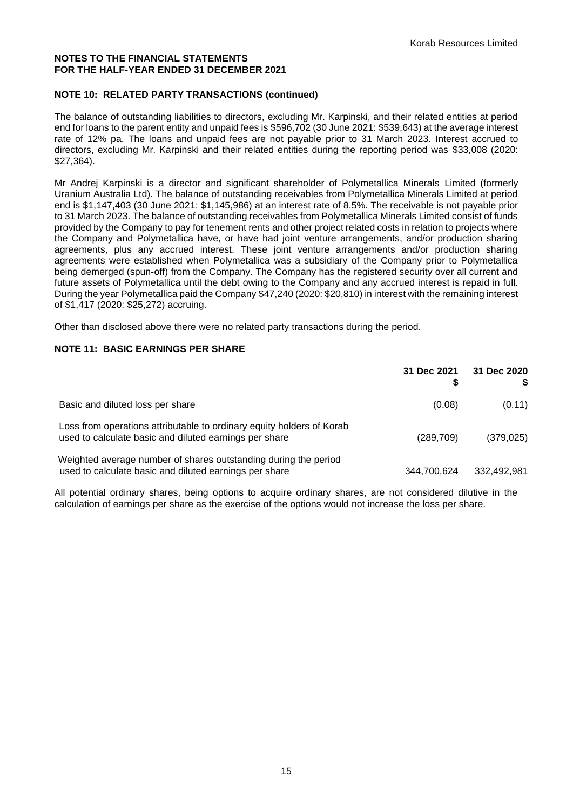#### **NOTES TO THE FINANCIAL STATEMENTS FOR THE HALF-YEAR ENDED 31 DECEMBER 2021**

# **NOTE 10: RELATED PARTY TRANSACTIONS (continued)**

The balance of outstanding liabilities to directors, excluding Mr. Karpinski, and their related entities at period end for loans to the parent entity and unpaid fees is \$596,702 (30 June 2021: \$539,643) at the average interest rate of 12% pa. The loans and unpaid fees are not payable prior to 31 March 2023. Interest accrued to directors, excluding Mr. Karpinski and their related entities during the reporting period was \$33,008 (2020: \$27,364).

Mr Andrej Karpinski is a director and significant shareholder of Polymetallica Minerals Limited (formerly Uranium Australia Ltd). The balance of outstanding receivables from Polymetallica Minerals Limited at period end is \$1,147,403 (30 June 2021: \$1,145,986) at an interest rate of 8.5%. The receivable is not payable prior to 31 March 2023. The balance of outstanding receivables from Polymetallica Minerals Limited consist of funds provided by the Company to pay for tenement rents and other project related costs in relation to projects where the Company and Polymetallica have, or have had joint venture arrangements, and/or production sharing agreements, plus any accrued interest. These joint venture arrangements and/or production sharing agreements were established when Polymetallica was a subsidiary of the Company prior to Polymetallica being demerged (spun-off) from the Company. The Company has the registered security over all current and future assets of Polymetallica until the debt owing to the Company and any accrued interest is repaid in full. During the year Polymetallica paid the Company \$47,240 (2020: \$20,810) in interest with the remaining interest of \$1,417 (2020: \$25,272) accruing.

Other than disclosed above there were no related party transactions during the period.

#### **NOTE 11: BASIC EARNINGS PER SHARE**

|                                                                                                                                 | 31 Dec 2021 | 31 Dec 2020 |
|---------------------------------------------------------------------------------------------------------------------------------|-------------|-------------|
| Basic and diluted loss per share                                                                                                | (0.08)      | (0.11)      |
| Loss from operations attributable to ordinary equity holders of Korab<br>used to calculate basic and diluted earnings per share | (289, 709)  | (379, 025)  |
| Weighted average number of shares outstanding during the period<br>used to calculate basic and diluted earnings per share       | 344,700,624 | 332,492,981 |

All potential ordinary shares, being options to acquire ordinary shares, are not considered dilutive in the calculation of earnings per share as the exercise of the options would not increase the loss per share.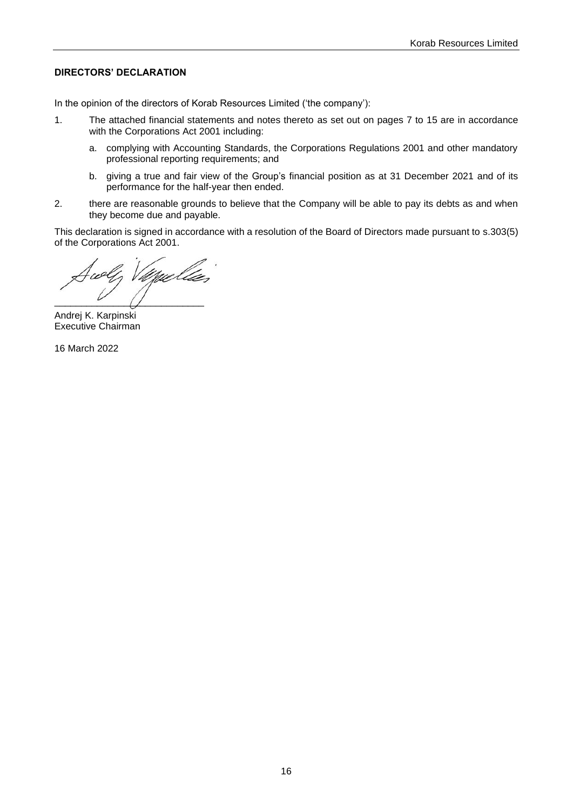### <span id="page-15-0"></span>**DIRECTORS' DECLARATION**

In the opinion of the directors of Korab Resources Limited ('the company'):

- 1. The attached financial statements and notes thereto as set out on pages 7 to 15 are in accordance with the Corporations Act 2001 including:
	- a. complying with Accounting Standards, the Corporations Regulations 2001 and other mandatory professional reporting requirements; and
	- b. giving a true and fair view of the Group's financial position as at 31 December 2021 and of its performance for the half-year then ended.
- 2. there are reasonable grounds to believe that the Company will be able to pay its debts as and when they become due and payable.

This declaration is signed in accordance with a resolution of the Board of Directors made pursuant to s.303(5) of the Corporations Act 2001.

 $\overline{\phantom{a}}$ 

Andrej K. Karpinski Executive Chairman

16 March 2022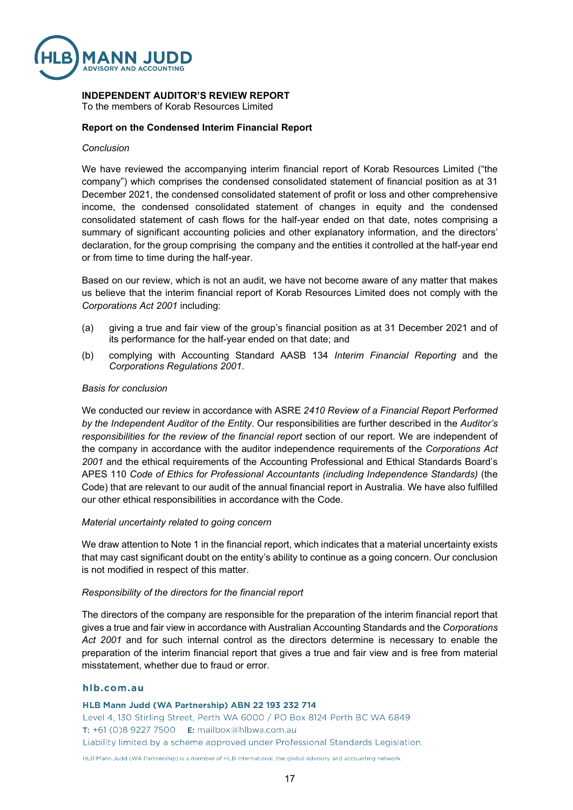

#### **INDEPENDENT AUDITOR'S REVIEW REPORT**

To the members of Korab Resources Limited

#### **Report on the Condensed Interim Financial Report**

#### *Conclusion*

We have reviewed the accompanying interim financial report of Korab Resources Limited ("the company") which comprises the condensed consolidated statement of financial position as at 31 December 2021, the condensed consolidated statement of profit or loss and other comprehensive income, the condensed consolidated statement of changes in equity and the condensed consolidated statement of cash flows for the half-year ended on that date, notes comprising a summary of significant accounting policies and other explanatory information, and the directors' declaration, for the group comprising the company and the entities it controlled at the half-year end or from time to time during the half-year.

Based on our review, which is not an audit, we have not become aware of any matter that makes us believe that the interim financial report of Korab Resources Limited does not comply with the *Corporations Act 2001* including:

- (a) giving a true and fair view of the group's financial position as at 31 December 2021 and of its performance for the half-year ended on that date; and
- (b) complying with Accounting Standard AASB 134 *Interim Financial Reporting* and the *Corporations Regulations 2001*.

#### *Basis for conclusion*

We conducted our review in accordance with ASRE *2410 Review of a Financial Report Performed by the Independent Auditor of the Entity*. Our responsibilities are further described in the *Auditor's responsibilities for the review of the financial report* section of our report. We are independent of the company in accordance with the auditor independence requirements of the *Corporations Act 2001* and the ethical requirements of the Accounting Professional and Ethical Standards Board's APES 110 *Code of Ethics for Professional Accountants (including Independence Standards)* (the Code) that are relevant to our audit of the annual financial report in Australia. We have also fulfilled our other ethical responsibilities in accordance with the Code.

#### *Material uncertainty related to going concern*

We draw attention to Note 1 in the financial report, which indicates that a material uncertainty exists that may cast significant doubt on the entity's ability to continue as a going concern. Our conclusion is not modified in respect of this matter.

#### *Responsibility of the directors for the financial report*

The directors of the company are responsible for the preparation of the interim financial report that gives a true and fair view in accordance with Australian Accounting Standards and the *Corporations Act 2001* and for such internal control as the directors determine is necessary to enable the preparation of the interim financial report that gives a true and fair view and is free from material misstatement, whether due to fraud or error.

#### hlb.com.au

HLB Mann Judd (WA Partnership) ABN 22 193 232 714 Level 4, 130 Stirling Street, Perth WA 6000 / PO Box 8124 Perth BC WA 6849 T: +61 (0)8 9227 7500 E: mailbox@hlbwa.com.au Liability limited by a scheme approved under Professional Standards Legislation.

HLB Mann Judd (WA Partnership) is a member of HLB International, the global advisory and accounting network